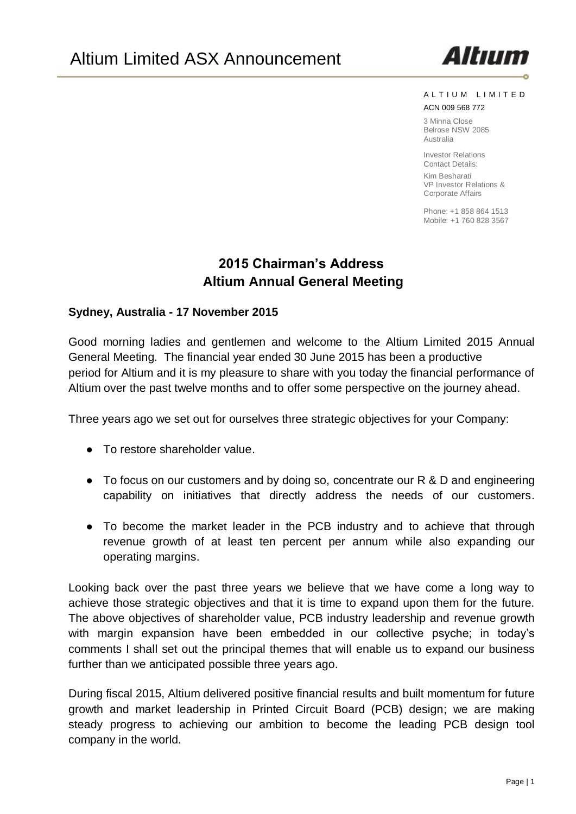

#### A L T I U M L I M I T E D

#### ACN 009 568 772

3 Minna Close Belrose NSW 2085 Australia

Investor Relations Contact Details:

Kim Besharati VP Investor Relations & Corporate Affairs

Phone: +1 858 864 1513 Mobile: +1 760 828 3567

# **2015 Chairman's Address Altium Annual General Meeting**

#### **Sydney, Australia - 17 November 2015**

Good morning ladies and gentlemen and welcome to the Altium Limited 2015 Annual General Meeting. The financial year ended 30 June 2015 has been a productive period for Altium and it is my pleasure to share with you today the financial performance of Altium over the past twelve months and to offer some perspective on the journey ahead.

Three years ago we set out for ourselves three strategic objectives for your Company:

- To restore shareholder value.
- To focus on our customers and by doing so, concentrate our R & D and engineering capability on initiatives that directly address the needs of our customers.
- To become the market leader in the PCB industry and to achieve that through revenue growth of at least ten percent per annum while also expanding our operating margins.

Looking back over the past three years we believe that we have come a long way to achieve those strategic objectives and that it is time to expand upon them for the future. The above objectives of shareholder value, PCB industry leadership and revenue growth with margin expansion have been embedded in our collective psyche; in today's comments I shall set out the principal themes that will enable us to expand our business further than we anticipated possible three years ago.

During fiscal 2015, Altium delivered positive financial results and built momentum for future growth and market leadership in Printed Circuit Board (PCB) design; we are making steady progress to achieving our ambition to become the leading PCB design tool company in the world.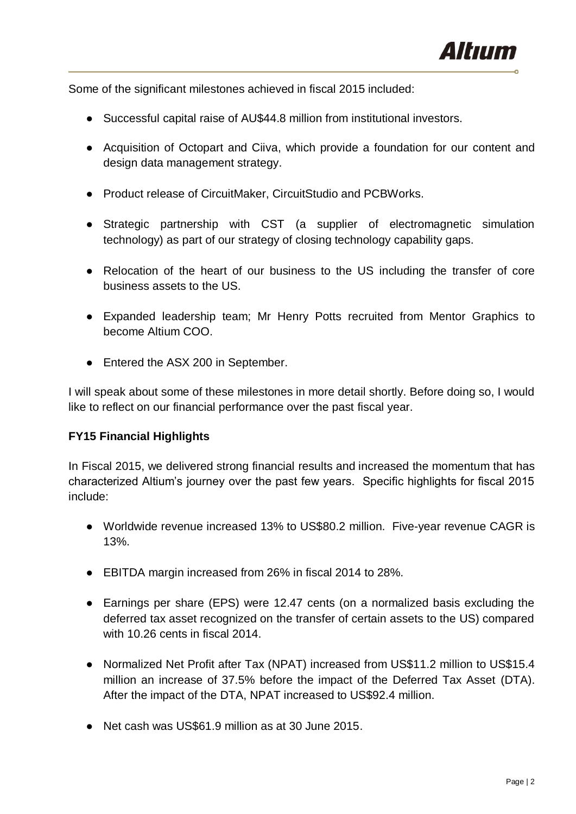

Some of the significant milestones achieved in fiscal 2015 included:

- Successful capital raise of AU\$44.8 million from institutional investors.
- Acquisition of Octopart and Ciiva, which provide a foundation for our content and design data management strategy.
- Product release of CircuitMaker, CircuitStudio and PCBWorks.
- Strategic partnership with CST (a supplier of electromagnetic simulation technology) as part of our strategy of closing technology capability gaps.
- Relocation of the heart of our business to the US including the transfer of core business assets to the US.
- Expanded leadership team; Mr Henry Potts recruited from Mentor Graphics to become Altium COO.
- Entered the ASX 200 in September.

I will speak about some of these milestones in more detail shortly. Before doing so, I would like to reflect on our financial performance over the past fiscal year.

# **FY15 Financial Highlights**

In Fiscal 2015, we delivered strong financial results and increased the momentum that has characterized Altium's journey over the past few years. Specific highlights for fiscal 2015 include:

- Worldwide revenue increased 13% to US\$80.2 million. Five-year revenue CAGR is 13%.
- EBITDA margin increased from 26% in fiscal 2014 to 28%.
- Earnings per share (EPS) were 12.47 cents (on a normalized basis excluding the deferred tax asset recognized on the transfer of certain assets to the US) compared with 10.26 cents in fiscal 2014.
- Normalized Net Profit after Tax (NPAT) increased from US\$11.2 million to US\$15.4 million an increase of 37.5% before the impact of the Deferred Tax Asset (DTA). After the impact of the DTA, NPAT increased to US\$92.4 million.
- Net cash was US\$61.9 million as at 30 June 2015.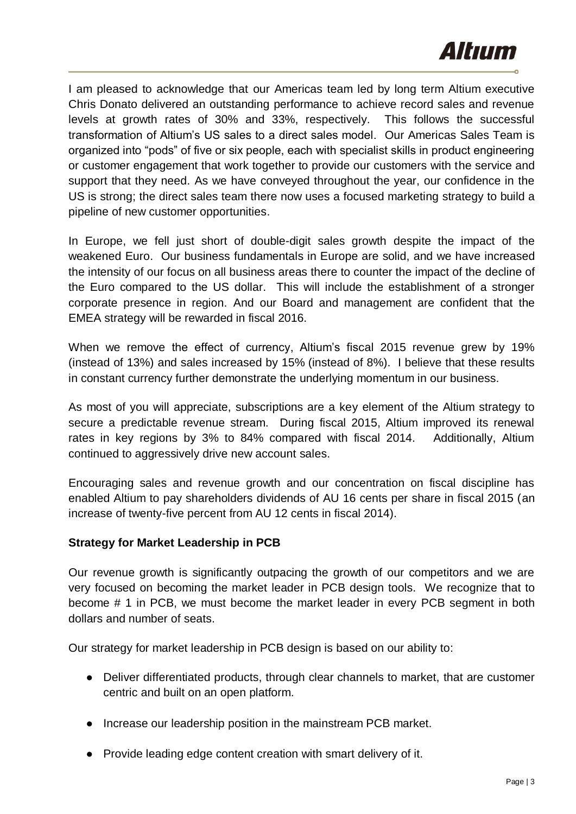

I am pleased to acknowledge that our Americas team led by long term Altium executive Chris Donato delivered an outstanding performance to achieve record sales and revenue levels at growth rates of 30% and 33%, respectively. This follows the successful transformation of Altium's US sales to a direct sales model. Our Americas Sales Team is organized into "pods" of five or six people, each with specialist skills in product engineering or customer engagement that work together to provide our customers with the service and support that they need. As we have conveyed throughout the year, our confidence in the US is strong; the direct sales team there now uses a focused marketing strategy to build a pipeline of new customer opportunities.

In Europe, we fell just short of double-digit sales growth despite the impact of the weakened Euro. Our business fundamentals in Europe are solid, and we have increased the intensity of our focus on all business areas there to counter the impact of the decline of the Euro compared to the US dollar. This will include the establishment of a stronger corporate presence in region. And our Board and management are confident that the EMEA strategy will be rewarded in fiscal 2016.

When we remove the effect of currency, Altium's fiscal 2015 revenue grew by 19% (instead of 13%) and sales increased by 15% (instead of 8%). I believe that these results in constant currency further demonstrate the underlying momentum in our business.

As most of you will appreciate, subscriptions are a key element of the Altium strategy to secure a predictable revenue stream. During fiscal 2015, Altium improved its renewal rates in key regions by 3% to 84% compared with fiscal 2014. Additionally, Altium continued to aggressively drive new account sales.

Encouraging sales and revenue growth and our concentration on fiscal discipline has enabled Altium to pay shareholders dividends of AU 16 cents per share in fiscal 2015 (an increase of twenty-five percent from AU 12 cents in fiscal 2014).

# **Strategy for Market Leadership in PCB**

Our revenue growth is significantly outpacing the growth of our competitors and we are very focused on becoming the market leader in PCB design tools. We recognize that to become # 1 in PCB, we must become the market leader in every PCB segment in both dollars and number of seats.

Our strategy for market leadership in PCB design is based on our ability to:

- Deliver differentiated products, through clear channels to market, that are customer centric and built on an open platform.
- Increase our leadership position in the mainstream PCB market.
- Provide leading edge content creation with smart delivery of it.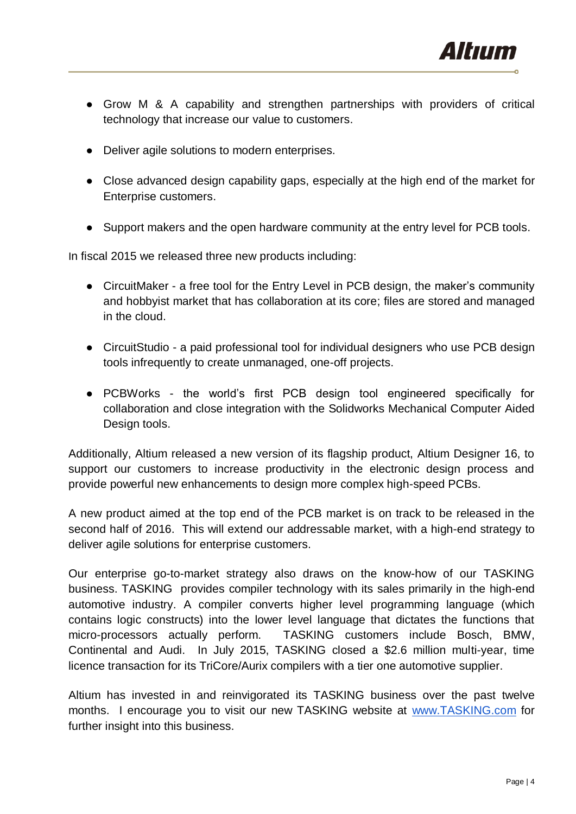

- Grow M & A capability and strengthen partnerships with providers of critical technology that increase our value to customers.
- Deliver agile solutions to modern enterprises.
- Close advanced design capability gaps, especially at the high end of the market for Enterprise customers.
- Support makers and the open hardware community at the entry level for PCB tools.

In fiscal 2015 we released three new products including:

- CircuitMaker a free tool for the Entry Level in PCB design, the maker's community and hobbyist market that has collaboration at its core; files are stored and managed in the cloud.
- CircuitStudio a paid professional tool for individual designers who use PCB design tools infrequently to create unmanaged, one-off projects.
- PCBWorks the world's first PCB design tool engineered specifically for collaboration and close integration with the Solidworks Mechanical Computer Aided Design tools.

Additionally, Altium released a new version of its flagship product, Altium Designer 16, to support our customers to increase productivity in the electronic design process and provide powerful new enhancements to design more complex high-speed PCBs.

A new product aimed at the top end of the PCB market is on track to be released in the second half of 2016. This will extend our addressable market, with a high-end strategy to deliver agile solutions for enterprise customers.

Our enterprise go-to-market strategy also draws on the know-how of our TASKING business. TASKING provides compiler technology with its sales primarily in the high-end automotive industry. A compiler converts higher level programming language (which contains logic constructs) into the lower level language that dictates the functions that micro-processors actually perform. TASKING customers include Bosch, BMW, Continental and Audi. In July 2015, TASKING closed a \$2.6 million multi-year, time licence transaction for its TriCore/Aurix compilers with a tier one automotive supplier.

Altium has invested in and reinvigorated its TASKING business over the past twelve months. I encourage you to visit our new TASKING website at [www.TASKING.com](http://www.tasking.com/) for further insight into this business.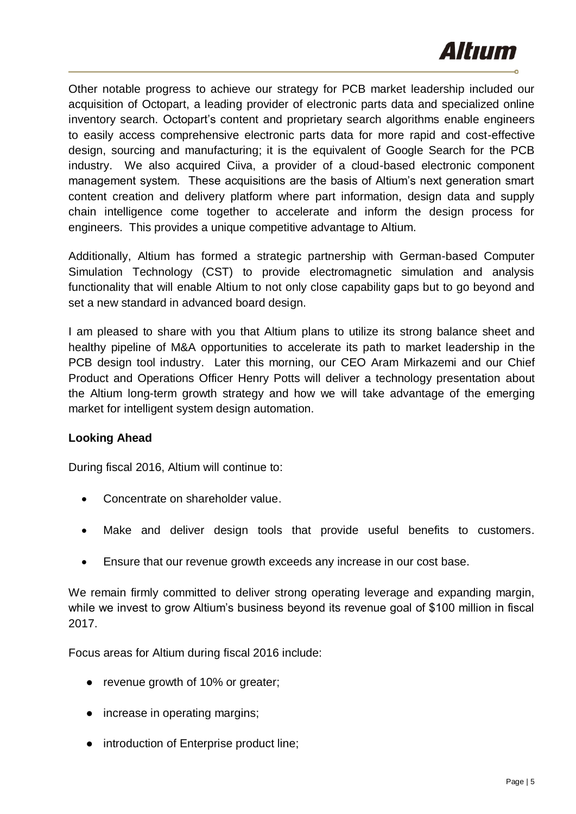

Other notable progress to achieve our strategy for PCB market leadership included our acquisition of Octopart, a leading provider of electronic parts data and specialized online inventory search. Octopart's content and proprietary search algorithms enable engineers to easily access comprehensive electronic parts data for more rapid and cost-effective design, sourcing and manufacturing; it is the equivalent of Google Search for the PCB industry. We also acquired Ciiva, a provider of a cloud-based electronic component management system. These acquisitions are the basis of Altium's next generation smart content creation and delivery platform where part information, design data and supply chain intelligence come together to accelerate and inform the design process for engineers. This provides a unique competitive advantage to Altium.

Additionally, Altium has formed a strategic partnership with German-based Computer Simulation Technology (CST) to provide electromagnetic simulation and analysis functionality that will enable Altium to not only close capability gaps but to go beyond and set a new standard in advanced board design.

I am pleased to share with you that Altium plans to utilize its strong balance sheet and healthy pipeline of M&A opportunities to accelerate its path to market leadership in the PCB design tool industry. Later this morning, our CEO Aram Mirkazemi and our Chief Product and Operations Officer Henry Potts will deliver a technology presentation about the Altium long-term growth strategy and how we will take advantage of the emerging market for intelligent system design automation.

# **Looking Ahead**

During fiscal 2016, Altium will continue to:

- Concentrate on shareholder value.
- Make and deliver design tools that provide useful benefits to customers.
- Ensure that our revenue growth exceeds any increase in our cost base.

We remain firmly committed to deliver strong operating leverage and expanding margin, while we invest to grow Altium's business beyond its revenue goal of \$100 million in fiscal 2017.

Focus areas for Altium during fiscal 2016 include:

- revenue growth of 10% or greater;
- increase in operating margins;
- introduction of Enterprise product line;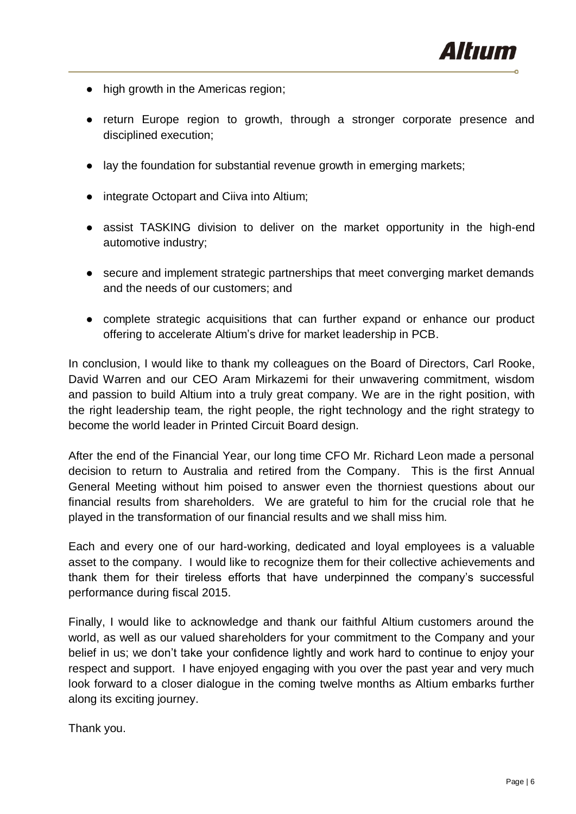

- high growth in the Americas region;
- return Europe region to growth, through a stronger corporate presence and disciplined execution;
- lay the foundation for substantial revenue growth in emerging markets;
- integrate Octopart and Ciiva into Altium:
- assist TASKING division to deliver on the market opportunity in the high-end automotive industry;
- secure and implement strategic partnerships that meet converging market demands and the needs of our customers; and
- complete strategic acquisitions that can further expand or enhance our product offering to accelerate Altium's drive for market leadership in PCB.

In conclusion, I would like to thank my colleagues on the Board of Directors, Carl Rooke, David Warren and our CEO Aram Mirkazemi for their unwavering commitment, wisdom and passion to build Altium into a truly great company. We are in the right position, with the right leadership team, the right people, the right technology and the right strategy to become the world leader in Printed Circuit Board design.

After the end of the Financial Year, our long time CFO Mr. Richard Leon made a personal decision to return to Australia and retired from the Company. This is the first Annual General Meeting without him poised to answer even the thorniest questions about our financial results from shareholders. We are grateful to him for the crucial role that he played in the transformation of our financial results and we shall miss him.

Each and every one of our hard-working, dedicated and loyal employees is a valuable asset to the company. I would like to recognize them for their collective achievements and thank them for their tireless efforts that have underpinned the company's successful performance during fiscal 2015.

Finally, I would like to acknowledge and thank our faithful Altium customers around the world, as well as our valued shareholders for your commitment to the Company and your belief in us; we don't take your confidence lightly and work hard to continue to enjoy your respect and support. I have enjoyed engaging with you over the past year and very much look forward to a closer dialogue in the coming twelve months as Altium embarks further along its exciting journey.

Thank you.